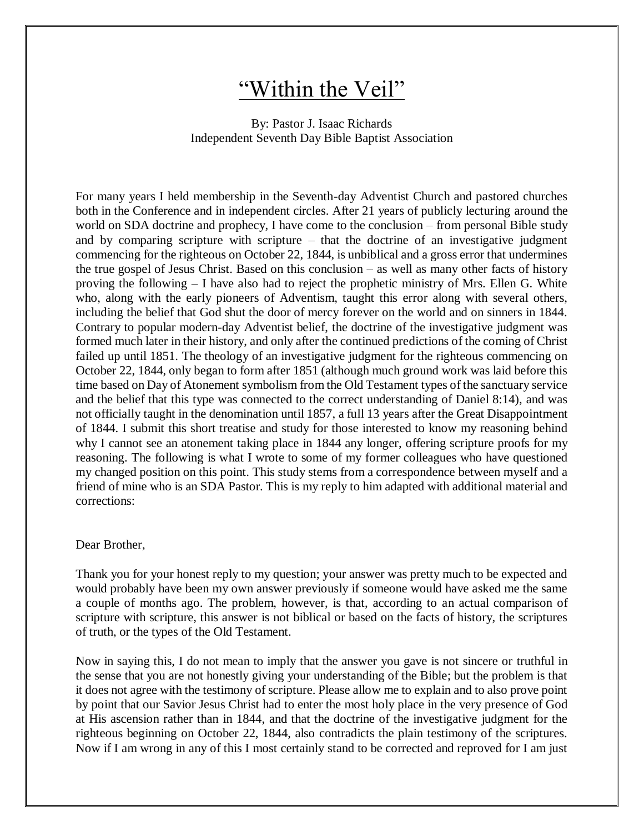# "Within the Veil"

## By: Pastor J. Isaac Richards Independent Seventh Day Bible Baptist Association

For many years I held membership in the Seventh-day Adventist Church and pastored churches both in the Conference and in independent circles. After 21 years of publicly lecturing around the world on SDA doctrine and prophecy, I have come to the conclusion – from personal Bible study and by comparing scripture with scripture – that the doctrine of an investigative judgment commencing for the righteous on October 22, 1844, is unbiblical and a gross error that undermines the true gospel of Jesus Christ. Based on this conclusion – as well as many other facts of history proving the following – I have also had to reject the prophetic ministry of Mrs. Ellen G. White who, along with the early pioneers of Adventism, taught this error along with several others, including the belief that God shut the door of mercy forever on the world and on sinners in 1844. Contrary to popular modern-day Adventist belief, the doctrine of the investigative judgment was formed much later in their history, and only after the continued predictions of the coming of Christ failed up until 1851. The theology of an investigative judgment for the righteous commencing on October 22, 1844, only began to form after 1851 (although much ground work was laid before this time based on Day of Atonement symbolism from the Old Testament types of the sanctuary service and the belief that this type was connected to the correct understanding of Daniel 8:14), and was not officially taught in the denomination until 1857, a full 13 years after the Great Disappointment of 1844. I submit this short treatise and study for those interested to know my reasoning behind why I cannot see an atonement taking place in 1844 any longer, offering scripture proofs for my reasoning. The following is what I wrote to some of my former colleagues who have questioned my changed position on this point. This study stems from a correspondence between myself and a friend of mine who is an SDA Pastor. This is my reply to him adapted with additional material and corrections:

#### Dear Brother,

Thank you for your honest reply to my question; your answer was pretty much to be expected and would probably have been my own answer previously if someone would have asked me the same a couple of months ago. The problem, however, is that, according to an actual comparison of scripture with scripture, this answer is not biblical or based on the facts of history, the scriptures of truth, or the types of the Old Testament.

Now in saying this, I do not mean to imply that the answer you gave is not sincere or truthful in the sense that you are not honestly giving your understanding of the Bible; but the problem is that it does not agree with the testimony of scripture. Please allow me to explain and to also prove point by point that our Savior Jesus Christ had to enter the most holy place in the very presence of God at His ascension rather than in 1844, and that the doctrine of the investigative judgment for the righteous beginning on October 22, 1844, also contradicts the plain testimony of the scriptures. Now if I am wrong in any of this I most certainly stand to be corrected and reproved for I am just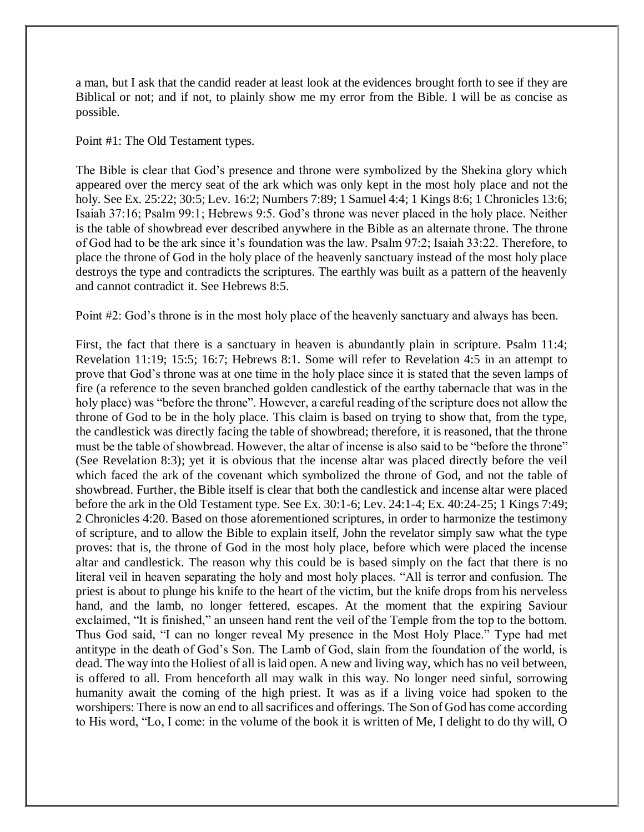a man, but I ask that the candid reader at least look at the evidences brought forth to see if they are Biblical or not; and if not, to plainly show me my error from the Bible. I will be as concise as possible.

Point #1: The Old Testament types.

The Bible is clear that God's presence and throne were symbolized by the Shekina glory which appeared over the mercy seat of the ark which was only kept in the most holy place and not the holy. See Ex. 25:22; 30:5; Lev. 16:2; Numbers 7:89; 1 Samuel 4:4; 1 Kings 8:6; 1 Chronicles 13:6; Isaiah 37:16; Psalm 99:1; Hebrews 9:5. God's throne was never placed in the holy place. Neither is the table of showbread ever described anywhere in the Bible as an alternate throne. The throne of God had to be the ark since it's foundation was the law. Psalm 97:2; Isaiah 33:22. Therefore, to place the throne of God in the holy place of the heavenly sanctuary instead of the most holy place destroys the type and contradicts the scriptures. The earthly was built as a pattern of the heavenly and cannot contradict it. See Hebrews 8:5.

Point #2: God's throne is in the most holy place of the heavenly sanctuary and always has been.

First, the fact that there is a sanctuary in heaven is abundantly plain in scripture. Psalm 11:4; Revelation 11:19; 15:5; 16:7; Hebrews 8:1. Some will refer to Revelation 4:5 in an attempt to prove that God's throne was at one time in the holy place since it is stated that the seven lamps of fire (a reference to the seven branched golden candlestick of the earthy tabernacle that was in the holy place) was "before the throne". However, a careful reading of the scripture does not allow the throne of God to be in the holy place. This claim is based on trying to show that, from the type, the candlestick was directly facing the table of showbread; therefore, it is reasoned, that the throne must be the table of showbread. However, the altar of incense is also said to be "before the throne" (See Revelation 8:3); yet it is obvious that the incense altar was placed directly before the veil which faced the ark of the covenant which symbolized the throne of God, and not the table of showbread. Further, the Bible itself is clear that both the candlestick and incense altar were placed before the ark in the Old Testament type. See Ex. 30:1-6; Lev. 24:1-4; Ex. 40:24-25; 1 Kings 7:49; 2 Chronicles 4:20. Based on those aforementioned scriptures, in order to harmonize the testimony of scripture, and to allow the Bible to explain itself, John the revelator simply saw what the type proves: that is, the throne of God in the most holy place, before which were placed the incense altar and candlestick. The reason why this could be is based simply on the fact that there is no literal veil in heaven separating the holy and most holy places. "All is terror and confusion. The priest is about to plunge his knife to the heart of the victim, but the knife drops from his nerveless hand, and the lamb, no longer fettered, escapes. At the moment that the expiring Saviour exclaimed, "It is finished," an unseen hand rent the veil of the Temple from the top to the bottom. Thus God said, "I can no longer reveal My presence in the Most Holy Place." Type had met antitype in the death of God's Son. The Lamb of God, slain from the foundation of the world, is dead. The way into the Holiest of all is laid open. A new and living way, which has no veil between, is offered to all. From henceforth all may walk in this way. No longer need sinful, sorrowing humanity await the coming of the high priest. It was as if a living voice had spoken to the worshipers: There is now an end to all sacrifices and offerings. The Son of God has come according to His word, "Lo, I come: in the volume of the book it is written of Me, I delight to do thy will, O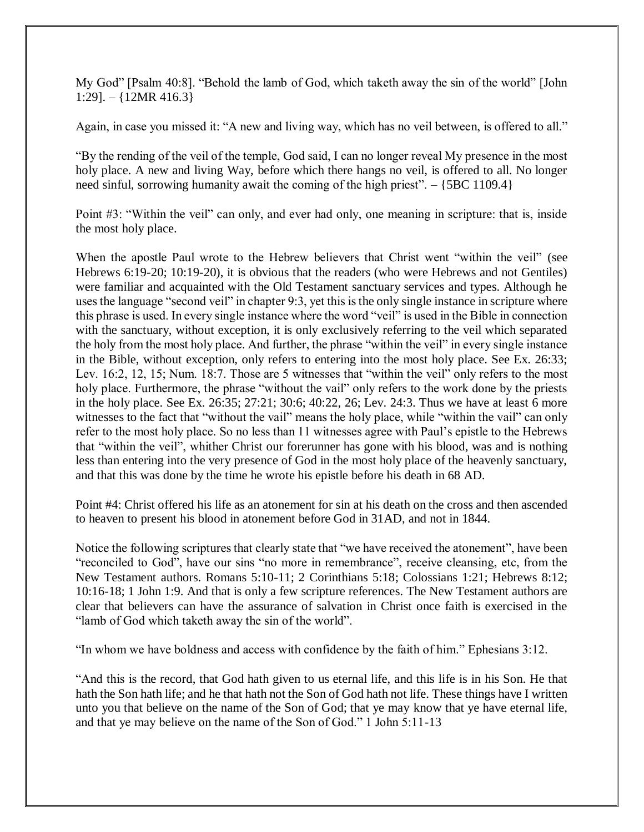My God" [Psalm 40:8]. "Behold the lamb of God, which taketh away the sin of the world" [John 1:29].  $-$  {12MR 416.3}

Again, in case you missed it: "A new and living way, which has no veil between, is offered to all."

"By the rending of the veil of the temple, God said, I can no longer reveal My presence in the most holy place. A new and living Way, before which there hangs no veil, is offered to all. No longer need sinful, sorrowing humanity await the coming of the high priest". – {5BC 1109.4}

Point #3: "Within the veil" can only, and ever had only, one meaning in scripture: that is, inside the most holy place.

When the apostle Paul wrote to the Hebrew believers that Christ went "within the veil" (see Hebrews 6:19-20; 10:19-20), it is obvious that the readers (who were Hebrews and not Gentiles) were familiar and acquainted with the Old Testament sanctuary services and types. Although he uses the language "second veil" in chapter 9:3, yet this is the only single instance in scripture where this phrase is used. In every single instance where the word "veil" is used in the Bible in connection with the sanctuary, without exception, it is only exclusively referring to the veil which separated the holy from the most holy place. And further, the phrase "within the veil" in every single instance in the Bible, without exception, only refers to entering into the most holy place. See Ex. 26:33; Lev. 16:2, 12, 15; Num. 18:7. Those are 5 witnesses that "within the veil" only refers to the most holy place. Furthermore, the phrase "without the vail" only refers to the work done by the priests in the holy place. See Ex. 26:35; 27:21; 30:6; 40:22, 26; Lev. 24:3. Thus we have at least 6 more witnesses to the fact that "without the vail" means the holy place, while "within the vail" can only refer to the most holy place. So no less than 11 witnesses agree with Paul's epistle to the Hebrews that "within the veil", whither Christ our forerunner has gone with his blood, was and is nothing less than entering into the very presence of God in the most holy place of the heavenly sanctuary, and that this was done by the time he wrote his epistle before his death in 68 AD.

Point #4: Christ offered his life as an atonement for sin at his death on the cross and then ascended to heaven to present his blood in atonement before God in 31AD, and not in 1844.

Notice the following scriptures that clearly state that "we have received the atonement", have been "reconciled to God", have our sins "no more in remembrance", receive cleansing, etc, from the New Testament authors. Romans 5:10-11; 2 Corinthians 5:18; Colossians 1:21; Hebrews 8:12; 10:16-18; 1 John 1:9. And that is only a few scripture references. The New Testament authors are clear that believers can have the assurance of salvation in Christ once faith is exercised in the "lamb of God which taketh away the sin of the world".

"In whom we have boldness and access with confidence by the faith of him." Ephesians 3:12.

"And this is the record, that God hath given to us eternal life, and this life is in his Son. He that hath the Son hath life; and he that hath not the Son of God hath not life. These things have I written unto you that believe on the name of the Son of God; that ye may know that ye have eternal life, and that ye may believe on the name of the Son of God." 1 John 5:11-13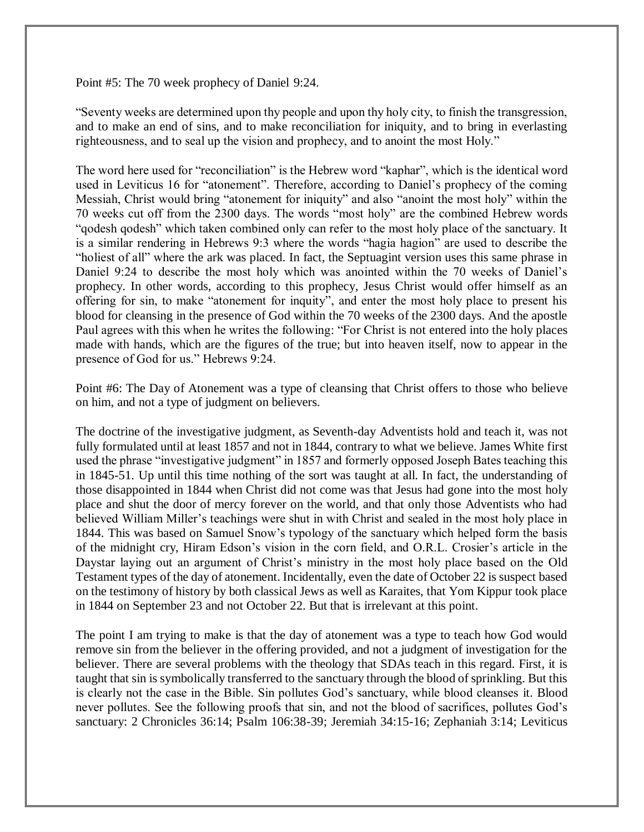Point #5: The 70 week prophecy of Daniel 9:24.

"Seventy weeks are determined upon thy people and upon thy holy city, to finish the transgression, and to make an end of sins, and to make reconciliation for iniquity, and to bring in everlasting righteousness, and to seal up the vision and prophecy, and to anoint the most Holy."

The word here used for "reconciliation" is the Hebrew word "kaphar", which is the identical word used in Leviticus 16 for "atonement". Therefore, according to Daniel's prophecy of the coming Messiah, Christ would bring "atonement for iniquity" and also "anoint the most holy" within the 70 weeks cut off from the 2300 days. The words "most holy" are the combined Hebrew words "qodesh qodesh" which taken combined only can refer to the most holy place of the sanctuary. It is a similar rendering in Hebrews 9:3 where the words "hagia hagion" are used to describe the "holiest of all" where the ark was placed. In fact, the Septuagint version uses this same phrase in Daniel 9:24 to describe the most holy which was anointed within the 70 weeks of Daniel's prophecy. In other words, according to this prophecy, Jesus Christ would offer himself as an offering for sin, to make "atonement for inquity", and enter the most holy place to present his blood for cleansing in the presence of God within the 70 weeks of the 2300 days. And the apostle Paul agrees with this when he writes the following: "For Christ is not entered into the holy places made with hands, which are the figures of the true; but into heaven itself, now to appear in the presence of God for us." Hebrews 9:24.

Point #6: The Day of Atonement was a type of cleansing that Christ offers to those who believe on him, and not a type of judgment on believers.

The doctrine of the investigative judgment, as Seventh-day Adventists hold and teach it, was not fully formulated until at least 1857 and not in 1844, contrary to what we believe. James White first used the phrase "investigative judgment" in 1857 and formerly opposed Joseph Bates teaching this in 1845-51. Up until this time nothing of the sort was taught at all. In fact, the understanding of those disappointed in 1844 when Christ did not come was that Jesus had gone into the most holy place and shut the door of mercy forever on the world, and that only those Adventists who had believed William Miller's teachings were shut in with Christ and sealed in the most holy place in 1844. This was based on Samuel Snow's typology of the sanctuary which helped form the basis of the midnight cry, Hiram Edson's vision in the corn field, and O.R.L. Crosier's article in the Daystar laying out an argument of Christ's ministry in the most holy place based on the Old Testament types of the day of atonement. Incidentally, even the date of October 22 is suspect based on the testimony of history by both classical Jews as well as Karaites, that Yom Kippur took place in 1844 on September 23 and not October 22. But that is irrelevant at this point.

The point I am trying to make is that the day of atonement was a type to teach how God would remove sin from the believer in the offering provided, and not a judgment of investigation for the believer. There are several problems with the theology that SDAs teach in this regard. First, it is taught that sin is symbolically transferred to the sanctuary through the blood of sprinkling. But this is clearly not the case in the Bible. Sin pollutes God's sanctuary, while blood cleanses it. Blood never pollutes. See the following proofs that sin, and not the blood of sacrifices, pollutes God's sanctuary: 2 Chronicles 36:14; Psalm 106:38-39; Jeremiah 34:15-16; Zephaniah 3:14; Leviticus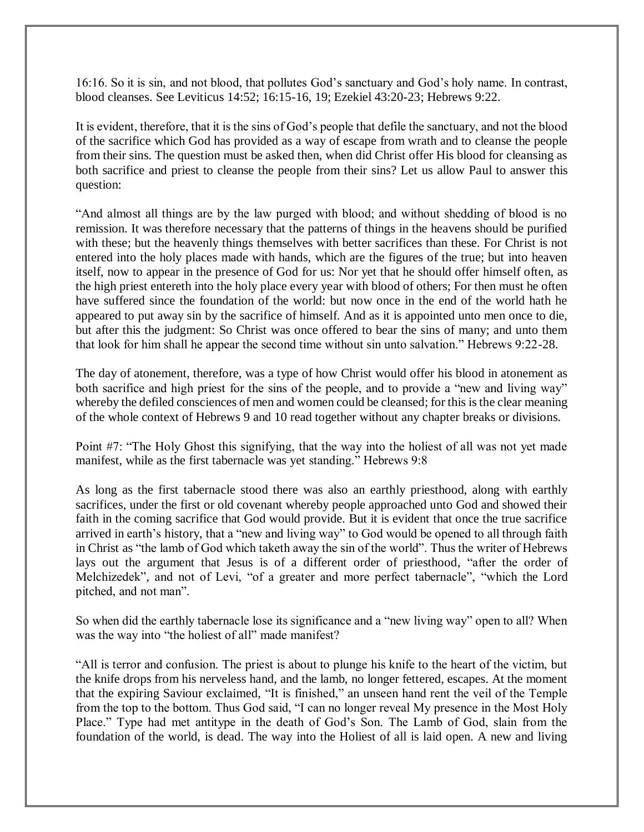16:16. So it is sin, and not blood, that pollutes God's sanctuary and God's holy name. In contrast, blood cleanses. See Leviticus 14:52; 16:15-16, 19; Ezekiel 43:20-23; Hebrews 9:22.

It is evident, therefore, that it is the sins of God's people that defile the sanctuary, and not the blood of the sacrifice which God has provided as a way of escape from wrath and to cleanse the people from their sins. The question must be asked then, when did Christ offer His blood for cleansing as both sacrifice and priest to cleanse the people from their sins? Let us allow Paul to answer this question:

"And almost all things are by the law purged with blood; and without shedding of blood is no remission. It was therefore necessary that the patterns of things in the heavens should be purified with these; but the heavenly things themselves with better sacrifices than these. For Christ is not entered into the holy places made with hands, which are the figures of the true; but into heaven itself, now to appear in the presence of God for us: Nor yet that he should offer himself often, as the high priest entereth into the holy place every year with blood of others; For then must he often have suffered since the foundation of the world: but now once in the end of the world hath he appeared to put away sin by the sacrifice of himself. And as it is appointed unto men once to die, but after this the judgment: So Christ was once offered to bear the sins of many; and unto them that look for him shall he appear the second time without sin unto salvation." Hebrews 9:22-28.

The day of atonement, therefore, was a type of how Christ would offer his blood in atonement as both sacrifice and high priest for the sins of the people, and to provide a "new and living way" whereby the defiled consciences of men and women could be cleansed; for this is the clear meaning of the whole context of Hebrews 9 and 10 read together without any chapter breaks or divisions.

Point #7: "The Holy Ghost this signifying, that the way into the holiest of all was not yet made manifest, while as the first tabernacle was yet standing." Hebrews 9:8

As long as the first tabernacle stood there was also an earthly priesthood, along with earthly sacrifices, under the first or old covenant whereby people approached unto God and showed their faith in the coming sacrifice that God would provide. But it is evident that once the true sacrifice arrived in earth's history, that a "new and living way" to God would be opened to all through faith in Christ as "the lamb of God which taketh away the sin of the world". Thus the writer of Hebrews lays out the argument that Jesus is of a different order of priesthood, "after the order of Melchizedek", and not of Levi, "of a greater and more perfect tabernacle", "which the Lord pitched, and not man".

So when did the earthly tabernacle lose its significance and a "new living way" open to all? When was the way into "the holiest of all" made manifest?

"All is terror and confusion. The priest is about to plunge his knife to the heart of the victim, but the knife drops from his nerveless hand, and the lamb, no longer fettered, escapes. At the moment that the expiring Saviour exclaimed, "It is finished," an unseen hand rent the veil of the Temple from the top to the bottom. Thus God said, "I can no longer reveal My presence in the Most Holy Place." Type had met antitype in the death of God's Son. The Lamb of God, slain from the foundation of the world, is dead. The way into the Holiest of all is laid open. A new and living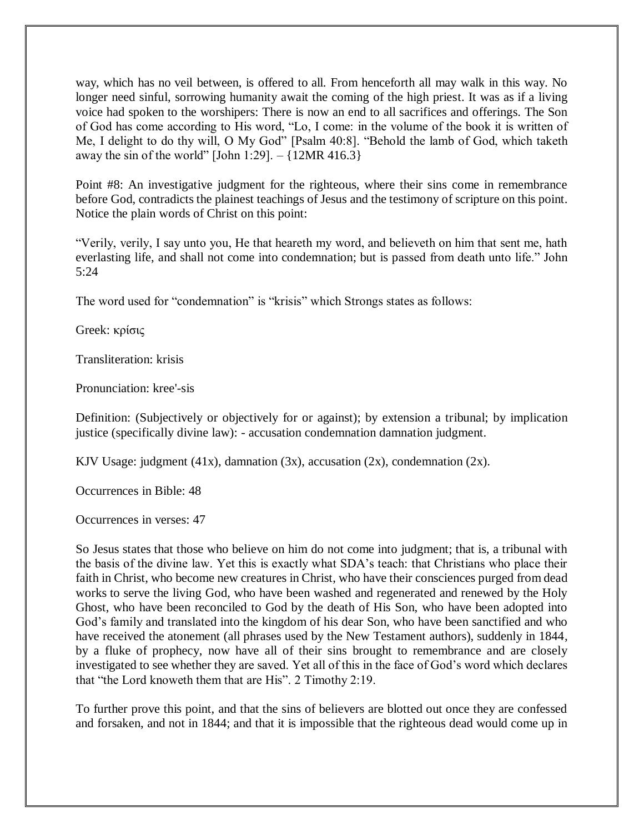way, which has no veil between, is offered to all. From henceforth all may walk in this way. No longer need sinful, sorrowing humanity await the coming of the high priest. It was as if a living voice had spoken to the worshipers: There is now an end to all sacrifices and offerings. The Son of God has come according to His word, "Lo, I come: in the volume of the book it is written of Me, I delight to do thy will, O My God" [Psalm 40:8]. "Behold the lamb of God, which taketh away the sin of the world" [John 1:29].  $-$  {12MR 416.3}

Point #8: An investigative judgment for the righteous, where their sins come in remembrance before God, contradicts the plainest teachings of Jesus and the testimony of scripture on this point. Notice the plain words of Christ on this point:

"Verily, verily, I say unto you, He that heareth my word, and believeth on him that sent me, hath everlasting life, and shall not come into condemnation; but is passed from death unto life." John 5:24

The word used for "condemnation" is "krisis" which Strongs states as follows:

Greek: κρίσις

Transliteration: krisis

Pronunciation: kree'-sis

Definition: (Subjectively or objectively for or against); by extension a tribunal; by implication justice (specifically divine law): - accusation condemnation damnation judgment.

KJV Usage: judgment  $(41x)$ , damnation  $(3x)$ , accusation  $(2x)$ , condemnation  $(2x)$ .

Occurrences in Bible: 48

Occurrences in verses: 47

So Jesus states that those who believe on him do not come into judgment; that is, a tribunal with the basis of the divine law. Yet this is exactly what SDA's teach: that Christians who place their faith in Christ, who become new creatures in Christ, who have their consciences purged from dead works to serve the living God, who have been washed and regenerated and renewed by the Holy Ghost, who have been reconciled to God by the death of His Son, who have been adopted into God's family and translated into the kingdom of his dear Son, who have been sanctified and who have received the atonement (all phrases used by the New Testament authors), suddenly in 1844, by a fluke of prophecy, now have all of their sins brought to remembrance and are closely investigated to see whether they are saved. Yet all of this in the face of God's word which declares that "the Lord knoweth them that are His". 2 Timothy 2:19.

To further prove this point, and that the sins of believers are blotted out once they are confessed and forsaken, and not in 1844; and that it is impossible that the righteous dead would come up in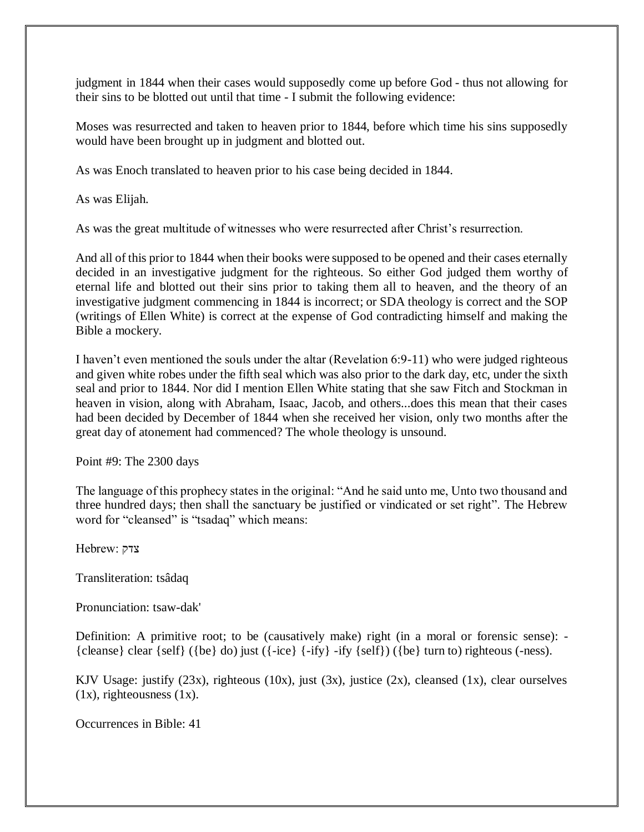judgment in 1844 when their cases would supposedly come up before God - thus not allowing for their sins to be blotted out until that time - I submit the following evidence:

Moses was resurrected and taken to heaven prior to 1844, before which time his sins supposedly would have been brought up in judgment and blotted out.

As was Enoch translated to heaven prior to his case being decided in 1844.

As was Elijah.

As was the great multitude of witnesses who were resurrected after Christ's resurrection.

And all of this prior to 1844 when their books were supposed to be opened and their cases eternally decided in an investigative judgment for the righteous. So either God judged them worthy of eternal life and blotted out their sins prior to taking them all to heaven, and the theory of an investigative judgment commencing in 1844 is incorrect; or SDA theology is correct and the SOP (writings of Ellen White) is correct at the expense of God contradicting himself and making the Bible a mockery.

I haven't even mentioned the souls under the altar (Revelation 6:9-11) who were judged righteous and given white robes under the fifth seal which was also prior to the dark day, etc, under the sixth seal and prior to 1844. Nor did I mention Ellen White stating that she saw Fitch and Stockman in heaven in vision, along with Abraham, Isaac, Jacob, and others...does this mean that their cases had been decided by December of 1844 when she received her vision, only two months after the great day of atonement had commenced? The whole theology is unsound.

Point #9: The 2300 days

The language of this prophecy states in the original: "And he said unto me, Unto two thousand and three hundred days; then shall the sanctuary be justified or vindicated or set right". The Hebrew word for "cleansed" is "tsadaq" which means:

צדק :Hebrew

Transliteration: tsâdaq

Pronunciation: tsaw-dak'

Definition: A primitive root; to be (causatively make) right (in a moral or forensic sense): - {cleanse} clear {self} ({be} do) just ({-ice} {-ify} -ify {self}) ({be} turn to) righteous (-ness).

KJV Usage: justify  $(23x)$ , righteous  $(10x)$ , just  $(3x)$ , justice  $(2x)$ , cleansed  $(1x)$ , clear ourselves  $(1x)$ , righteousness  $(1x)$ .

Occurrences in Bible: 41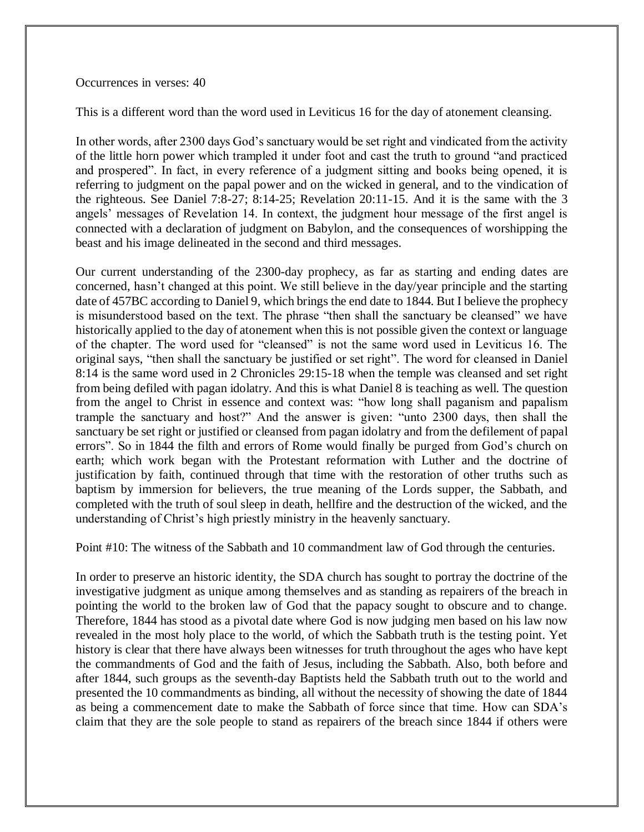#### Occurrences in verses: 40

This is a different word than the word used in Leviticus 16 for the day of atonement cleansing.

In other words, after 2300 days God's sanctuary would be set right and vindicated from the activity of the little horn power which trampled it under foot and cast the truth to ground "and practiced and prospered". In fact, in every reference of a judgment sitting and books being opened, it is referring to judgment on the papal power and on the wicked in general, and to the vindication of the righteous. See Daniel 7:8-27; 8:14-25; Revelation 20:11-15. And it is the same with the 3 angels' messages of Revelation 14. In context, the judgment hour message of the first angel is connected with a declaration of judgment on Babylon, and the consequences of worshipping the beast and his image delineated in the second and third messages.

Our current understanding of the 2300-day prophecy, as far as starting and ending dates are concerned, hasn't changed at this point. We still believe in the day/year principle and the starting date of 457BC according to Daniel 9, which brings the end date to 1844. But I believe the prophecy is misunderstood based on the text. The phrase "then shall the sanctuary be cleansed" we have historically applied to the day of atonement when this is not possible given the context or language of the chapter. The word used for "cleansed" is not the same word used in Leviticus 16. The original says, "then shall the sanctuary be justified or set right". The word for cleansed in Daniel 8:14 is the same word used in 2 Chronicles 29:15-18 when the temple was cleansed and set right from being defiled with pagan idolatry. And this is what Daniel 8 is teaching as well. The question from the angel to Christ in essence and context was: "how long shall paganism and papalism trample the sanctuary and host?" And the answer is given: "unto 2300 days, then shall the sanctuary be set right or justified or cleansed from pagan idolatry and from the defilement of papal errors". So in 1844 the filth and errors of Rome would finally be purged from God's church on earth; which work began with the Protestant reformation with Luther and the doctrine of justification by faith, continued through that time with the restoration of other truths such as baptism by immersion for believers, the true meaning of the Lords supper, the Sabbath, and completed with the truth of soul sleep in death, hellfire and the destruction of the wicked, and the understanding of Christ's high priestly ministry in the heavenly sanctuary.

Point #10: The witness of the Sabbath and 10 commandment law of God through the centuries.

In order to preserve an historic identity, the SDA church has sought to portray the doctrine of the investigative judgment as unique among themselves and as standing as repairers of the breach in pointing the world to the broken law of God that the papacy sought to obscure and to change. Therefore, 1844 has stood as a pivotal date where God is now judging men based on his law now revealed in the most holy place to the world, of which the Sabbath truth is the testing point. Yet history is clear that there have always been witnesses for truth throughout the ages who have kept the commandments of God and the faith of Jesus, including the Sabbath. Also, both before and after 1844, such groups as the seventh-day Baptists held the Sabbath truth out to the world and presented the 10 commandments as binding, all without the necessity of showing the date of 1844 as being a commencement date to make the Sabbath of force since that time. How can SDA's claim that they are the sole people to stand as repairers of the breach since 1844 if others were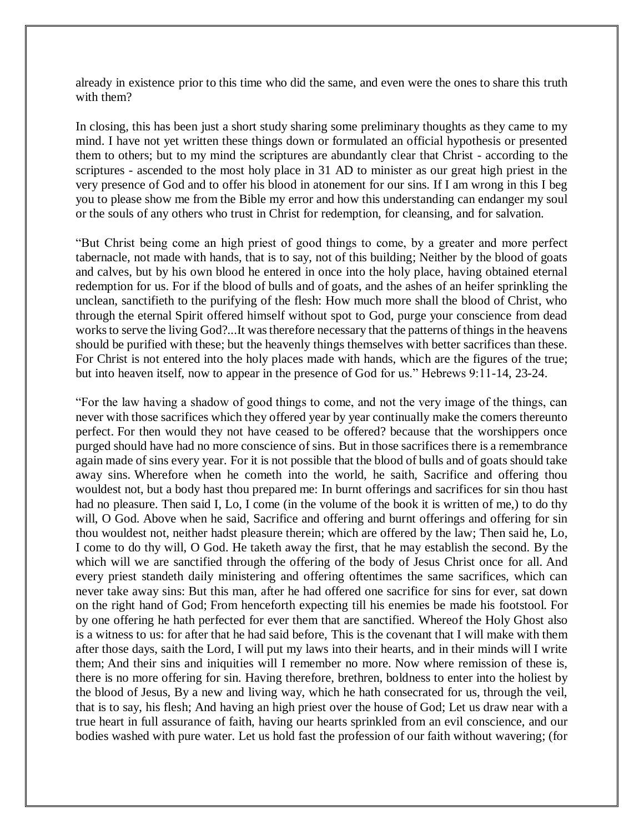already in existence prior to this time who did the same, and even were the ones to share this truth with them?

In closing, this has been just a short study sharing some preliminary thoughts as they came to my mind. I have not yet written these things down or formulated an official hypothesis or presented them to others; but to my mind the scriptures are abundantly clear that Christ - according to the scriptures - ascended to the most holy place in 31 AD to minister as our great high priest in the very presence of God and to offer his blood in atonement for our sins. If I am wrong in this I beg you to please show me from the Bible my error and how this understanding can endanger my soul or the souls of any others who trust in Christ for redemption, for cleansing, and for salvation.

"But Christ being come an high priest of good things to come, by a greater and more perfect tabernacle, not made with hands, that is to say, not of this building; Neither by the blood of goats and calves, but by his own blood he entered in once into the holy place, having obtained eternal redemption for us. For if the blood of bulls and of goats, and the ashes of an heifer sprinkling the unclean, sanctifieth to the purifying of the flesh: How much more shall the blood of Christ, who through the eternal Spirit offered himself without spot to God, purge your conscience from dead works to serve the living God?...It was therefore necessary that the patterns of things in the heavens should be purified with these; but the heavenly things themselves with better sacrifices than these. For Christ is not entered into the holy places made with hands, which are the figures of the true; but into heaven itself, now to appear in the presence of God for us." Hebrews 9:11-14, 23-24.

"For the law having a shadow of good things to come, and not the very image of the things, can never with those sacrifices which they offered year by year continually make the comers thereunto perfect. For then would they not have ceased to be offered? because that the worshippers once purged should have had no more conscience of sins. But in those sacrifices there is a remembrance again made of sins every year. For it is not possible that the blood of bulls and of goats should take away sins. Wherefore when he cometh into the world, he saith, Sacrifice and offering thou wouldest not, but a body hast thou prepared me: In burnt offerings and sacrifices for sin thou hast had no pleasure. Then said I, Lo, I come (in the volume of the book it is written of me,) to do thy will, O God. Above when he said, Sacrifice and offering and burnt offerings and offering for sin thou wouldest not, neither hadst pleasure therein; which are offered by the law; Then said he, Lo, I come to do thy will, O God. He taketh away the first, that he may establish the second. By the which will we are sanctified through the offering of the body of Jesus Christ once for all. And every priest standeth daily ministering and offering oftentimes the same sacrifices, which can never take away sins: But this man, after he had offered one sacrifice for sins for ever, sat down on the right hand of God; From henceforth expecting till his enemies be made his footstool. For by one offering he hath perfected for ever them that are sanctified. Whereof the Holy Ghost also is a witness to us: for after that he had said before, This is the covenant that I will make with them after those days, saith the Lord, I will put my laws into their hearts, and in their minds will I write them; And their sins and iniquities will I remember no more. Now where remission of these is, there is no more offering for sin. Having therefore, brethren, boldness to enter into the holiest by the blood of Jesus, By a new and living way, which he hath consecrated for us, through the veil, that is to say, his flesh; And having an high priest over the house of God; Let us draw near with a true heart in full assurance of faith, having our hearts sprinkled from an evil conscience, and our bodies washed with pure water. Let us hold fast the profession of our faith without wavering; (for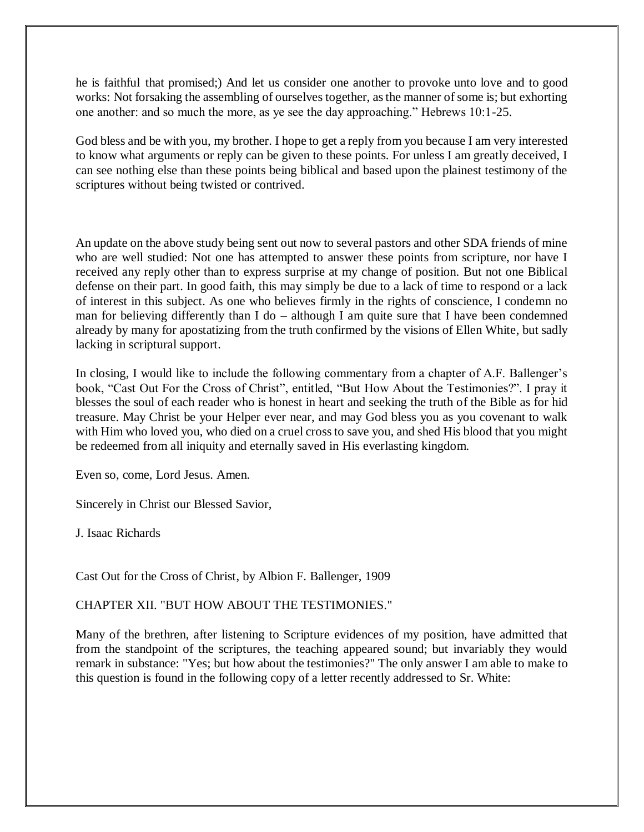he is faithful that promised;) And let us consider one another to provoke unto love and to good works: Not forsaking the assembling of ourselves together, as the manner of some is; but exhorting one another: and so much the more, as ye see the day approaching." Hebrews 10:1-25.

God bless and be with you, my brother. I hope to get a reply from you because I am very interested to know what arguments or reply can be given to these points. For unless I am greatly deceived, I can see nothing else than these points being biblical and based upon the plainest testimony of the scriptures without being twisted or contrived.

An update on the above study being sent out now to several pastors and other SDA friends of mine who are well studied: Not one has attempted to answer these points from scripture, nor have I received any reply other than to express surprise at my change of position. But not one Biblical defense on their part. In good faith, this may simply be due to a lack of time to respond or a lack of interest in this subject. As one who believes firmly in the rights of conscience, I condemn no man for believing differently than I do – although I am quite sure that I have been condemned already by many for apostatizing from the truth confirmed by the visions of Ellen White, but sadly lacking in scriptural support.

In closing, I would like to include the following commentary from a chapter of A.F. Ballenger's book, "Cast Out For the Cross of Christ", entitled, "But How About the Testimonies?". I pray it blesses the soul of each reader who is honest in heart and seeking the truth of the Bible as for hid treasure. May Christ be your Helper ever near, and may God bless you as you covenant to walk with Him who loved you, who died on a cruel cross to save you, and shed His blood that you might be redeemed from all iniquity and eternally saved in His everlasting kingdom.

Even so, come, Lord Jesus. Amen.

Sincerely in Christ our Blessed Savior,

J. Isaac Richards

Cast Out for the Cross of Christ, by Albion F. Ballenger, 1909

## CHAPTER XII. "BUT HOW ABOUT THE TESTIMONIES."

Many of the brethren, after listening to Scripture evidences of my position, have admitted that from the standpoint of the scriptures, the teaching appeared sound; but invariably they would remark in substance: "Yes; but how about the testimonies?" The only answer I am able to make to this question is found in the following copy of a letter recently addressed to Sr. White: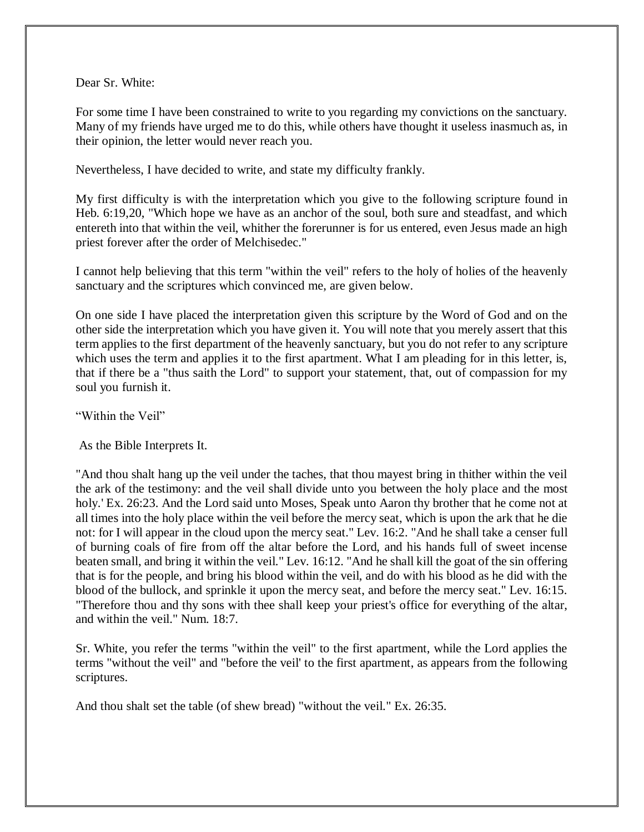Dear Sr. White:

For some time I have been constrained to write to you regarding my convictions on the sanctuary. Many of my friends have urged me to do this, while others have thought it useless inasmuch as, in their opinion, the letter would never reach you.

Nevertheless, I have decided to write, and state my difficulty frankly.

My first difficulty is with the interpretation which you give to the following scripture found in Heb. 6:19,20, "Which hope we have as an anchor of the soul, both sure and steadfast, and which entereth into that within the veil, whither the forerunner is for us entered, even Jesus made an high priest forever after the order of Melchisedec."

I cannot help believing that this term "within the veil" refers to the holy of holies of the heavenly sanctuary and the scriptures which convinced me, are given below.

On one side I have placed the interpretation given this scripture by the Word of God and on the other side the interpretation which you have given it. You will note that you merely assert that this term applies to the first department of the heavenly sanctuary, but you do not refer to any scripture which uses the term and applies it to the first apartment. What I am pleading for in this letter, is, that if there be a "thus saith the Lord" to support your statement, that, out of compassion for my soul you furnish it.

"Within the Veil"

As the Bible Interprets It.

"And thou shalt hang up the veil under the taches, that thou mayest bring in thither within the veil the ark of the testimony: and the veil shall divide unto you between the holy place and the most holy.' Ex. 26:23. And the Lord said unto Moses, Speak unto Aaron thy brother that he come not at all times into the holy place within the veil before the mercy seat, which is upon the ark that he die not: for I will appear in the cloud upon the mercy seat." Lev. 16:2. "And he shall take a censer full of burning coals of fire from off the altar before the Lord, and his hands full of sweet incense beaten small, and bring it within the veil." Lev. 16:12. "And he shall kill the goat of the sin offering that is for the people, and bring his blood within the veil, and do with his blood as he did with the blood of the bullock, and sprinkle it upon the mercy seat, and before the mercy seat." Lev. 16:15. "Therefore thou and thy sons with thee shall keep your priest's office for everything of the altar, and within the veil." Num. 18:7.

Sr. White, you refer the terms "within the veil" to the first apartment, while the Lord applies the terms "without the veil" and "before the veil' to the first apartment, as appears from the following scriptures.

And thou shalt set the table (of shew bread) "without the veil." Ex. 26:35.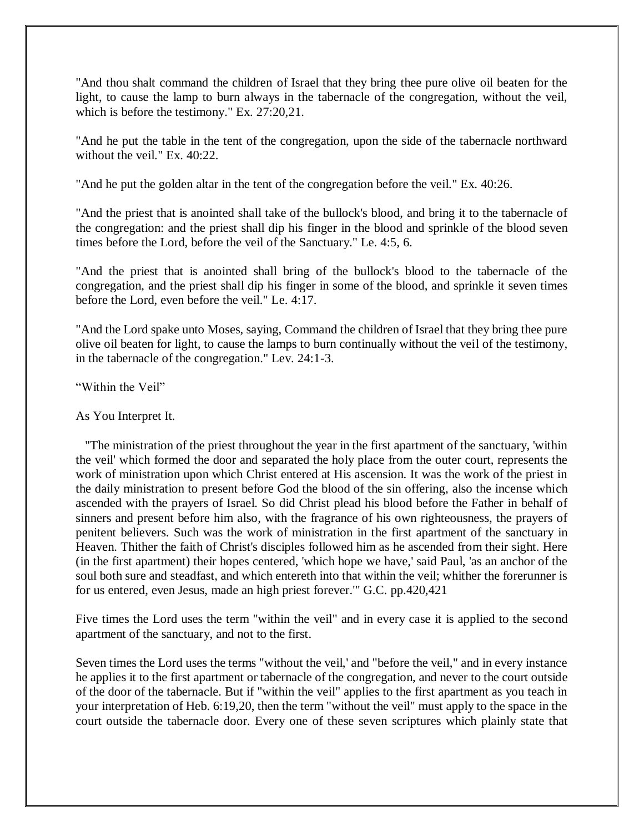"And thou shalt command the children of Israel that they bring thee pure olive oil beaten for the light, to cause the lamp to burn always in the tabernacle of the congregation, without the veil, which is before the testimony." Ex. 27:20,21.

"And he put the table in the tent of the congregation, upon the side of the tabernacle northward without the veil." Ex. 40:22.

"And he put the golden altar in the tent of the congregation before the veil." Ex. 40:26.

"And the priest that is anointed shall take of the bullock's blood, and bring it to the tabernacle of the congregation: and the priest shall dip his finger in the blood and sprinkle of the blood seven times before the Lord, before the veil of the Sanctuary." Le. 4:5, 6.

"And the priest that is anointed shall bring of the bullock's blood to the tabernacle of the congregation, and the priest shall dip his finger in some of the blood, and sprinkle it seven times before the Lord, even before the veil." Le. 4:17.

"And the Lord spake unto Moses, saying, Command the children of Israel that they bring thee pure olive oil beaten for light, to cause the lamps to burn continually without the veil of the testimony, in the tabernacle of the congregation." Lev. 24:1-3.

"Within the Veil"

### As You Interpret It.

"The ministration of the priest throughout the year in the first apartment of the sanctuary, 'within the veil' which formed the door and separated the holy place from the outer court, represents the work of ministration upon which Christ entered at His ascension. It was the work of the priest in the daily ministration to present before God the blood of the sin offering, also the incense which ascended with the prayers of Israel. So did Christ plead his blood before the Father in behalf of sinners and present before him also, with the fragrance of his own righteousness, the prayers of penitent believers. Such was the work of ministration in the first apartment of the sanctuary in Heaven. Thither the faith of Christ's disciples followed him as he ascended from their sight. Here (in the first apartment) their hopes centered, 'which hope we have,' said Paul, 'as an anchor of the soul both sure and steadfast, and which entereth into that within the veil; whither the forerunner is for us entered, even Jesus, made an high priest forever.'" G.C. pp.420,421

Five times the Lord uses the term "within the veil" and in every case it is applied to the second apartment of the sanctuary, and not to the first.

Seven times the Lord uses the terms "without the veil,' and "before the veil," and in every instance he applies it to the first apartment or tabernacle of the congregation, and never to the court outside of the door of the tabernacle. But if "within the veil" applies to the first apartment as you teach in your interpretation of Heb. 6:19,20, then the term "without the veil" must apply to the space in the court outside the tabernacle door. Every one of these seven scriptures which plainly state that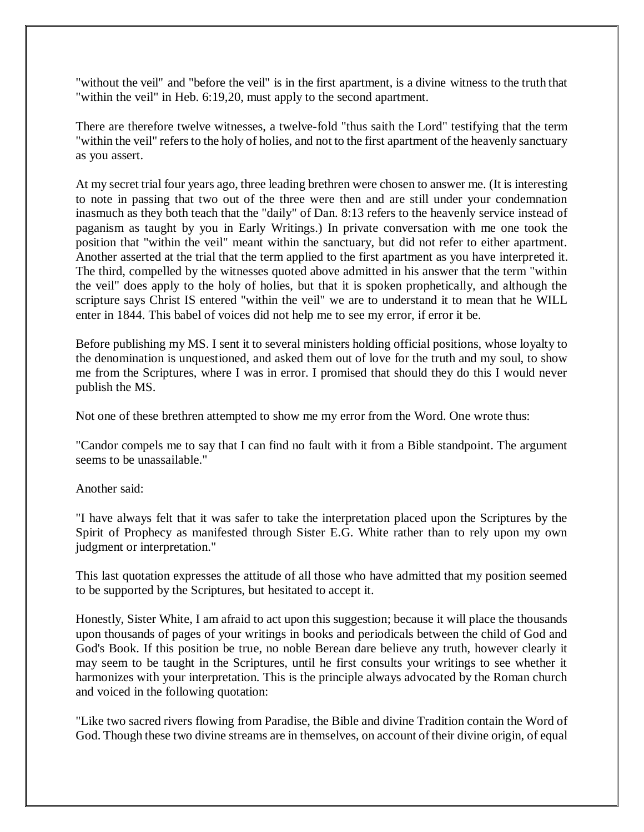"without the veil" and "before the veil" is in the first apartment, is a divine witness to the truth that "within the veil" in Heb. 6:19,20, must apply to the second apartment.

There are therefore twelve witnesses, a twelve-fold "thus saith the Lord" testifying that the term "within the veil" refers to the holy of holies, and not to the first apartment of the heavenly sanctuary as you assert.

At my secret trial four years ago, three leading brethren were chosen to answer me. (It is interesting to note in passing that two out of the three were then and are still under your condemnation inasmuch as they both teach that the "daily" of Dan. 8:13 refers to the heavenly service instead of paganism as taught by you in Early Writings.) In private conversation with me one took the position that "within the veil" meant within the sanctuary, but did not refer to either apartment. Another asserted at the trial that the term applied to the first apartment as you have interpreted it. The third, compelled by the witnesses quoted above admitted in his answer that the term "within the veil" does apply to the holy of holies, but that it is spoken prophetically, and although the scripture says Christ IS entered "within the veil" we are to understand it to mean that he WILL enter in 1844. This babel of voices did not help me to see my error, if error it be.

Before publishing my MS. I sent it to several ministers holding official positions, whose loyalty to the denomination is unquestioned, and asked them out of love for the truth and my soul, to show me from the Scriptures, where I was in error. I promised that should they do this I would never publish the MS.

Not one of these brethren attempted to show me my error from the Word. One wrote thus:

"Candor compels me to say that I can find no fault with it from a Bible standpoint. The argument seems to be unassailable."

Another said:

"I have always felt that it was safer to take the interpretation placed upon the Scriptures by the Spirit of Prophecy as manifested through Sister E.G. White rather than to rely upon my own judgment or interpretation."

This last quotation expresses the attitude of all those who have admitted that my position seemed to be supported by the Scriptures, but hesitated to accept it.

Honestly, Sister White, I am afraid to act upon this suggestion; because it will place the thousands upon thousands of pages of your writings in books and periodicals between the child of God and God's Book. If this position be true, no noble Berean dare believe any truth, however clearly it may seem to be taught in the Scriptures, until he first consults your writings to see whether it harmonizes with your interpretation. This is the principle always advocated by the Roman church and voiced in the following quotation:

"Like two sacred rivers flowing from Paradise, the Bible and divine Tradition contain the Word of God. Though these two divine streams are in themselves, on account of their divine origin, of equal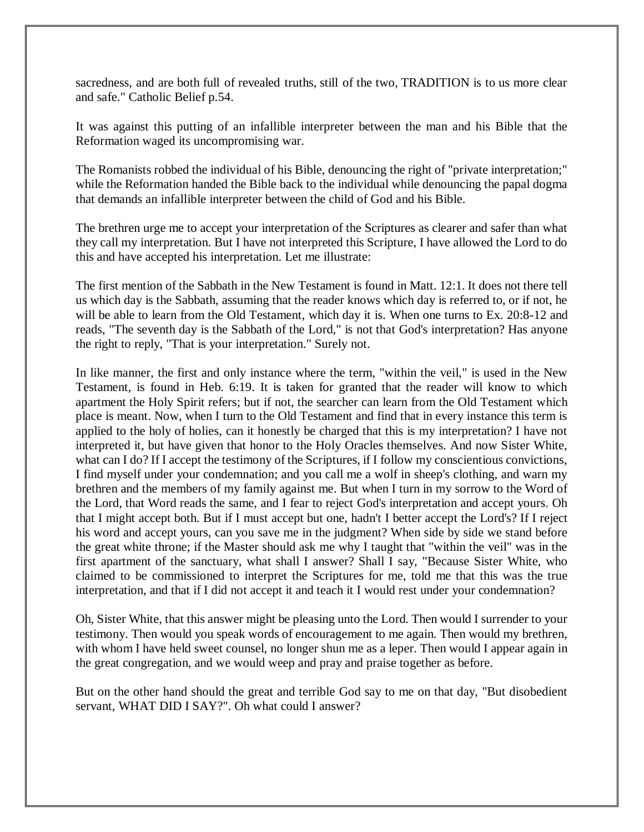sacredness, and are both full of revealed truths, still of the two, TRADITION is to us more clear and safe." Catholic Belief p.54.

It was against this putting of an infallible interpreter between the man and his Bible that the Reformation waged its uncompromising war.

The Romanists robbed the individual of his Bible, denouncing the right of "private interpretation;" while the Reformation handed the Bible back to the individual while denouncing the papal dogma that demands an infallible interpreter between the child of God and his Bible.

The brethren urge me to accept your interpretation of the Scriptures as clearer and safer than what they call my interpretation. But I have not interpreted this Scripture, I have allowed the Lord to do this and have accepted his interpretation. Let me illustrate:

The first mention of the Sabbath in the New Testament is found in Matt. 12:1. It does not there tell us which day is the Sabbath, assuming that the reader knows which day is referred to, or if not, he will be able to learn from the Old Testament, which day it is. When one turns to Ex. 20:8-12 and reads, "The seventh day is the Sabbath of the Lord," is not that God's interpretation? Has anyone the right to reply, "That is your interpretation." Surely not.

In like manner, the first and only instance where the term, "within the veil," is used in the New Testament, is found in Heb. 6:19. It is taken for granted that the reader will know to which apartment the Holy Spirit refers; but if not, the searcher can learn from the Old Testament which place is meant. Now, when I turn to the Old Testament and find that in every instance this term is applied to the holy of holies, can it honestly be charged that this is my interpretation? I have not interpreted it, but have given that honor to the Holy Oracles themselves. And now Sister White, what can I do? If I accept the testimony of the Scriptures, if I follow my conscientious convictions, I find myself under your condemnation; and you call me a wolf in sheep's clothing, and warn my brethren and the members of my family against me. But when I turn in my sorrow to the Word of the Lord, that Word reads the same, and I fear to reject God's interpretation and accept yours. Oh that I might accept both. But if I must accept but one, hadn't I better accept the Lord's? If I reject his word and accept yours, can you save me in the judgment? When side by side we stand before the great white throne; if the Master should ask me why I taught that "within the veil" was in the first apartment of the sanctuary, what shall I answer? Shall I say, "Because Sister White, who claimed to be commissioned to interpret the Scriptures for me, told me that this was the true interpretation, and that if I did not accept it and teach it I would rest under your condemnation?

Oh, Sister White, that this answer might be pleasing unto the Lord. Then would I surrender to your testimony. Then would you speak words of encouragement to me again. Then would my brethren, with whom I have held sweet counsel, no longer shun me as a leper. Then would I appear again in the great congregation, and we would weep and pray and praise together as before.

But on the other hand should the great and terrible God say to me on that day, "But disobedient servant, WHAT DID I SAY?". Oh what could I answer?